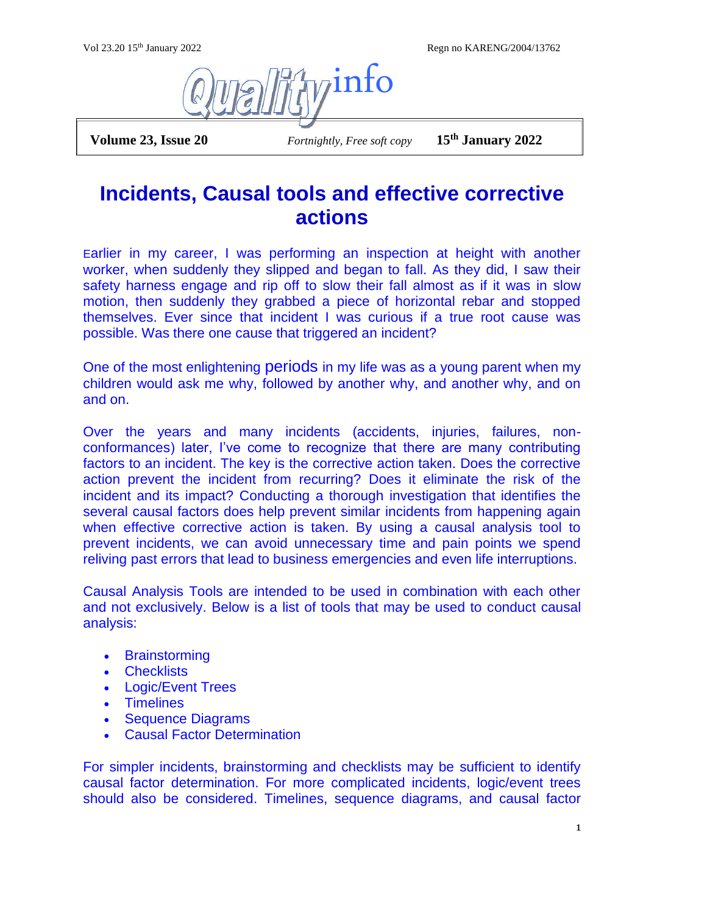Vol 23.20 15th January 2022 Regn no KARENG/2004/13762



 **Volume 23, Issue 20** *Fortnightly, Free soft copy* **15th January 2022**

## **Incidents, Causal tools and effective corrective actions**

Earlier in my career, I was performing an inspection at height with another worker, when suddenly they slipped and began to fall. As they did, I saw their safety harness engage and rip off to slow their fall almost as if it was in slow motion, then suddenly they grabbed a piece of horizontal rebar and stopped themselves. Ever since that incident I was curious if a true root cause was possible. Was there one cause that triggered an incident?

One of the most enlightening periods in my life was as a young parent when my children would ask me why, followed by another why, and another why, and on and on.

Over the years and many incidents (accidents, injuries, failures, nonconformances) later, I've come to recognize that there are many contributing factors to an incident. The key is the corrective action taken. Does the corrective action prevent the incident from recurring? Does it eliminate the risk of the incident and its impact? Conducting a thorough investigation that identifies the several causal factors does help prevent similar incidents from happening again when effective corrective action is taken. By using a causal analysis tool to prevent incidents, we can avoid unnecessary time and pain points we spend reliving past errors that lead to business emergencies and even life interruptions.

Causal Analysis Tools are intended to be used in combination with each other and not exclusively. Below is a list of tools that may be used to conduct causal analysis:

- Brainstorming
- Checklists
- Logic/Event Trees
- Timelines
- Sequence Diagrams
- Causal Factor Determination

For simpler incidents, brainstorming and checklists may be sufficient to identify causal factor determination. For more complicated incidents, logic/event trees should also be considered. Timelines, sequence diagrams, and causal factor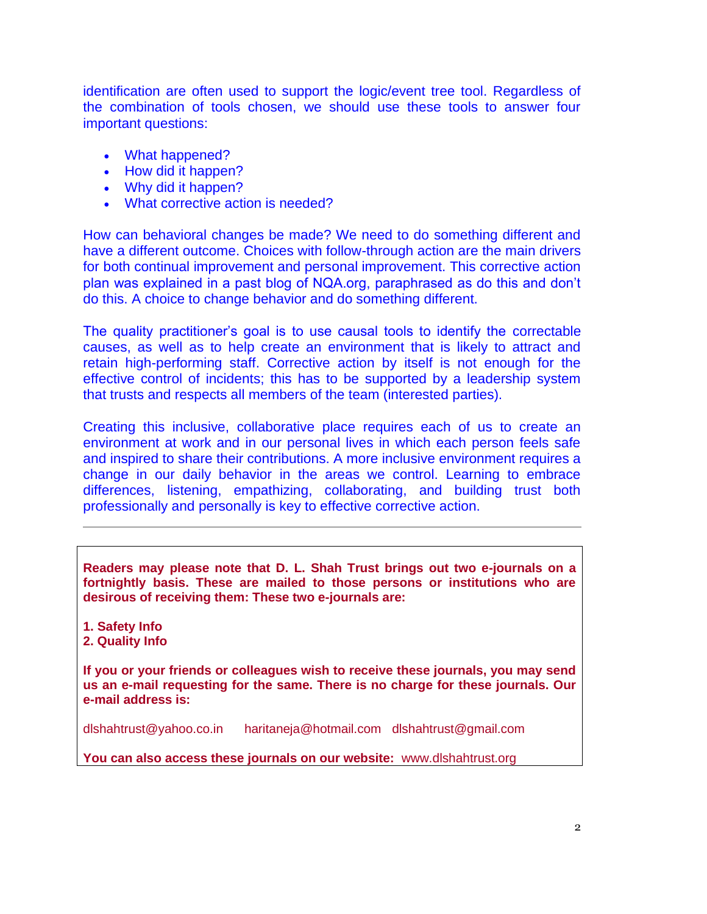identification are often used to support the logic/event tree tool. Regardless of the combination of tools chosen, we should use these tools to answer four important questions:

- What happened?
- How did it happen?
- Why did it happen?
- What corrective action is needed?

How can behavioral changes be made? We need to do something different and have a different outcome. Choices with follow-through action are the main drivers for both continual improvement and personal improvement. This corrective action plan was explained in a past blog of NQA.org, paraphrased as do this and don't do this. A choice to change behavior and do something different.

The quality practitioner's goal is to use causal tools to identify the correctable causes, as well as to help create an environment that is likely to attract and retain high-performing staff. Corrective action by itself is not enough for the effective control of incidents; this has to be supported by a leadership system that trusts and respects all members of the team (interested parties).

Creating this inclusive, collaborative place requires each of us to create an environment at work and in our personal lives in which each person feels safe and inspired to share their contributions. A more inclusive environment requires a change in our daily behavior in the areas we control. Learning to embrace differences, listening, empathizing, collaborating, and building trust both professionally and personally is key to effective corrective action.

**Readers may please note that D. L. Shah Trust brings out two e-journals on a fortnightly basis. These are mailed to those persons or institutions who are desirous of receiving them: These two e-journals are:**

- **1. Safety Info**
- **2. Quality Info**

**If you or your friends or colleagues wish to receive these journals, you may send us an e-mail requesting for the same. There is no charge for these journals. Our e-mail address is:**

[dlshahtrust@yahoo.co.in](mailto:dlshahtrust@yahoo.co.in) [haritaneja@hotmail.com](mailto:haritaneja@hotmail.com)[dlshahtrust@gmail.com](mailto:dlshahtrust@gmail.com)

**You can also access these journals on our website:** [www.dlshahtrust.org](http://www.dlshahtrust.org/)